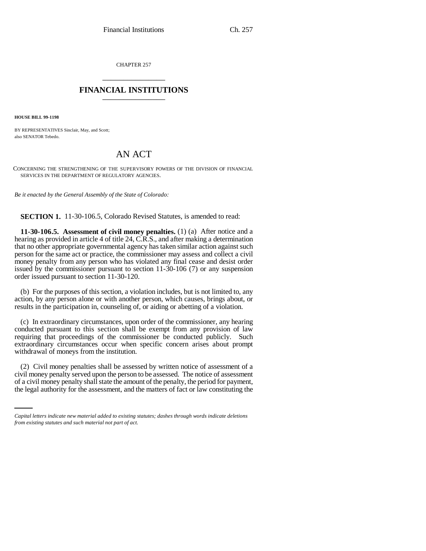CHAPTER 257 \_\_\_\_\_\_\_\_\_\_\_\_\_\_\_

## **FINANCIAL INSTITUTIONS** \_\_\_\_\_\_\_\_\_\_\_\_\_\_\_

**HOUSE BILL 99-1198** 

BY REPRESENTATIVES Sinclair, May, and Scott; also SENATOR Tebedo.

# AN ACT

CONCERNING THE STRENGTHENING OF THE SUPERVISORY POWERS OF THE DIVISION OF FINANCIAL SERVICES IN THE DEPARTMENT OF REGULATORY AGENCIES.

*Be it enacted by the General Assembly of the State of Colorado:*

**SECTION 1.** 11-30-106.5, Colorado Revised Statutes, is amended to read:

**11-30-106.5. Assessment of civil money penalties.** (1) (a) After notice and a hearing as provided in article 4 of title 24, C.R.S., and after making a determination that no other appropriate governmental agency has taken similar action against such person for the same act or practice, the commissioner may assess and collect a civil money penalty from any person who has violated any final cease and desist order issued by the commissioner pursuant to section 11-30-106 (7) or any suspension order issued pursuant to section 11-30-120.

(b) For the purposes of this section, a violation includes, but is not limited to, any action, by any person alone or with another person, which causes, brings about, or results in the participation in, counseling of, or aiding or abetting of a violation.

(c) In extraordinary circumstances, upon order of the commissioner, any hearing conducted pursuant to this section shall be exempt from any provision of law requiring that proceedings of the commissioner be conducted publicly. Such extraordinary circumstances occur when specific concern arises about prompt withdrawal of moneys from the institution.

 $\zeta$  civil money penalties share be assessed by which holds of assessment of a civil money penalty served upon the person to be assessed. The notice of assessment (2) Civil money penalties shall be assessed by written notice of assessment of a of a civil money penalty shall state the amount of the penalty, the period for payment, the legal authority for the assessment, and the matters of fact or law constituting the

*Capital letters indicate new material added to existing statutes; dashes through words indicate deletions from existing statutes and such material not part of act.*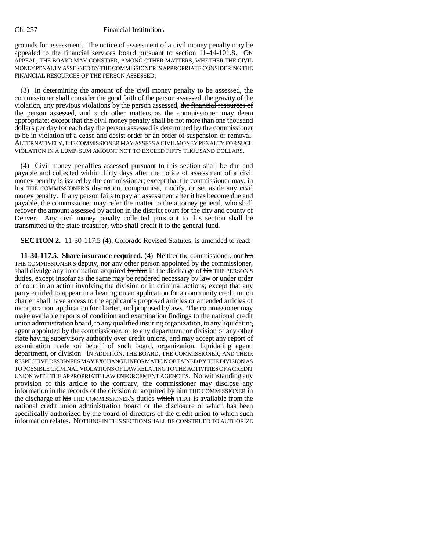grounds for assessment. The notice of assessment of a civil money penalty may be appealed to the financial services board pursuant to section 11-44-101.8. ON APPEAL, THE BOARD MAY CONSIDER, AMONG OTHER MATTERS, WHETHER THE CIVIL MONEY PENALTY ASSESSED BY THE COMMISSIONER IS APPROPRIATE CONSIDERING THE FINANCIAL RESOURCES OF THE PERSON ASSESSED.

(3) In determining the amount of the civil money penalty to be assessed, the commissioner shall consider the good faith of the person assessed, the gravity of the violation, any previous violations by the person assessed, the financial resources of the person assessed, and such other matters as the commissioner may deem appropriate; except that the civil money penalty shall be not more than one thousand dollars per day for each day the person assessed is determined by the commissioner to be in violation of a cease and desist order or an order of suspension or removal. ALTERNATIVELY, THE COMMISSIONER MAY ASSESS A CIVIL MONEY PENALTY FOR SUCH VIOLATION IN A LUMP-SUM AMOUNT NOT TO EXCEED FIFTY THOUSAND DOLLARS.

(4) Civil money penalties assessed pursuant to this section shall be due and payable and collected within thirty days after the notice of assessment of a civil money penalty is issued by the commissioner; except that the commissioner may, in his THE COMMISSIONER'S discretion, compromise, modify, or set aside any civil money penalty. If any person fails to pay an assessment after it has become due and payable, the commissioner may refer the matter to the attorney general, who shall recover the amount assessed by action in the district court for the city and county of Denver. Any civil money penalty collected pursuant to this section shall be transmitted to the state treasurer, who shall credit it to the general fund.

**SECTION 2.** 11-30-117.5 (4), Colorado Revised Statutes, is amended to read:

**11-30-117.5. Share insurance required.** (4) Neither the commissioner, nor his THE COMMISSIONER'S deputy, nor any other person appointed by the commissioner, shall divulge any information acquired by him in the discharge of his THE PERSON'S duties, except insofar as the same may be rendered necessary by law or under order of court in an action involving the division or in criminal actions; except that any party entitled to appear in a hearing on an application for a community credit union charter shall have access to the applicant's proposed articles or amended articles of incorporation, application for charter, and proposed bylaws. The commissioner may make available reports of condition and examination findings to the national credit union administration board, to any qualified insuring organization, to any liquidating agent appointed by the commissioner, or to any department or division of any other state having supervisory authority over credit unions, and may accept any report of examination made on behalf of such board, organization, liquidating agent, department, or division. IN ADDITION, THE BOARD, THE COMMISSIONER, AND THEIR RESPECTIVE DESIGNEES MAY EXCHANGE INFORMATION OBTAINED BY THE DIVISION AS TO POSSIBLE CRIMINAL VIOLATIONS OF LAW RELATING TO THE ACTIVITIES OF A CREDIT UNION WITH THE APPROPRIATE LAW ENFORCEMENT AGENCIES. Notwithstanding any provision of this article to the contrary, the commissioner may disclose any information in the records of the division or acquired by him THE COMMISSIONER in the discharge of his THE COMMISSIONER'S duties which THAT is available from the national credit union administration board or the disclosure of which has been specifically authorized by the board of directors of the credit union to which such information relates. NOTHING IN THIS SECTION SHALL BE CONSTRUED TO AUTHORIZE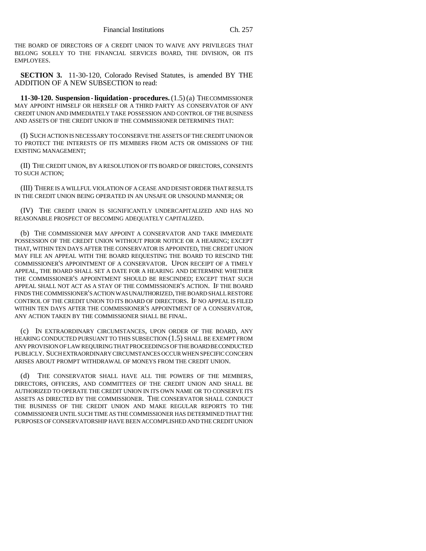THE BOARD OF DIRECTORS OF A CREDIT UNION TO WAIVE ANY PRIVILEGES THAT BELONG SOLELY TO THE FINANCIAL SERVICES BOARD, THE DIVISION, OR ITS EMPLOYEES.

**SECTION 3.** 11-30-120, Colorado Revised Statutes, is amended BY THE ADDITION OF A NEW SUBSECTION to read:

**11-30-120. Suspension - liquidation - procedures.** (1.5) (a) THE COMMISSIONER MAY APPOINT HIMSELF OR HERSELF OR A THIRD PARTY AS CONSERVATOR OF ANY CREDIT UNION AND IMMEDIATELY TAKE POSSESSION AND CONTROL OF THE BUSINESS AND ASSETS OF THE CREDIT UNION IF THE COMMISSIONER DETERMINES THAT:

(I) SUCH ACTION IS NECESSARY TO CONSERVE THE ASSETS OF THE CREDIT UNION OR TO PROTECT THE INTERESTS OF ITS MEMBERS FROM ACTS OR OMISSIONS OF THE EXISTING MANAGEMENT;

(II) THE CREDIT UNION, BY A RESOLUTION OF ITS BOARD OF DIRECTORS, CONSENTS TO SUCH ACTION;

(III) THERE IS A WILLFUL VIOLATION OF A CEASE AND DESIST ORDER THAT RESULTS IN THE CREDIT UNION BEING OPERATED IN AN UNSAFE OR UNSOUND MANNER; OR

(IV) THE CREDIT UNION IS SIGNIFICANTLY UNDERCAPITALIZED AND HAS NO REASONABLE PROSPECT OF BECOMING ADEQUATELY CAPITALIZED.

(b) THE COMMISSIONER MAY APPOINT A CONSERVATOR AND TAKE IMMEDIATE POSSESSION OF THE CREDIT UNION WITHOUT PRIOR NOTICE OR A HEARING; EXCEPT THAT, WITHIN TEN DAYS AFTER THE CONSERVATOR IS APPOINTED, THE CREDIT UNION MAY FILE AN APPEAL WITH THE BOARD REQUESTING THE BOARD TO RESCIND THE COMMISSIONER'S APPOINTMENT OF A CONSERVATOR. UPON RECEIPT OF A TIMELY APPEAL, THE BOARD SHALL SET A DATE FOR A HEARING AND DETERMINE WHETHER THE COMMISSIONER'S APPOINTMENT SHOULD BE RESCINDED; EXCEPT THAT SUCH APPEAL SHALL NOT ACT AS A STAY OF THE COMMISSIONER'S ACTION. IF THE BOARD FINDS THE COMMISSIONER'S ACTION WAS UNAUTHORIZED, THE BOARD SHALL RESTORE CONTROL OF THE CREDIT UNION TO ITS BOARD OF DIRECTORS. IF NO APPEAL IS FILED WITHIN TEN DAYS AFTER THE COMMISSIONER'S APPOINTMENT OF A CONSERVATOR, ANY ACTION TAKEN BY THE COMMISSIONER SHALL BE FINAL.

(c) IN EXTRAORDINARY CIRCUMSTANCES, UPON ORDER OF THE BOARD, ANY HEARING CONDUCTED PURSUANT TO THIS SUBSECTION (1.5) SHALL BE EXEMPT FROM ANY PROVISION OF LAW REQUIRING THAT PROCEEDINGS OF THE BOARD BE CONDUCTED PUBLICLY. SUCH EXTRAORDINARY CIRCUMSTANCES OCCUR WHEN SPECIFIC CONCERN ARISES ABOUT PROMPT WITHDRAWAL OF MONEYS FROM THE CREDIT UNION.

(d) THE CONSERVATOR SHALL HAVE ALL THE POWERS OF THE MEMBERS, DIRECTORS, OFFICERS, AND COMMITTEES OF THE CREDIT UNION AND SHALL BE AUTHORIZED TO OPERATE THE CREDIT UNION IN ITS OWN NAME OR TO CONSERVE ITS ASSETS AS DIRECTED BY THE COMMISSIONER. THE CONSERVATOR SHALL CONDUCT THE BUSINESS OF THE CREDIT UNION AND MAKE REGULAR REPORTS TO THE COMMISSIONER UNTIL SUCH TIME AS THE COMMISSIONER HAS DETERMINED THAT THE PURPOSES OF CONSERVATORSHIP HAVE BEEN ACCOMPLISHED AND THE CREDIT UNION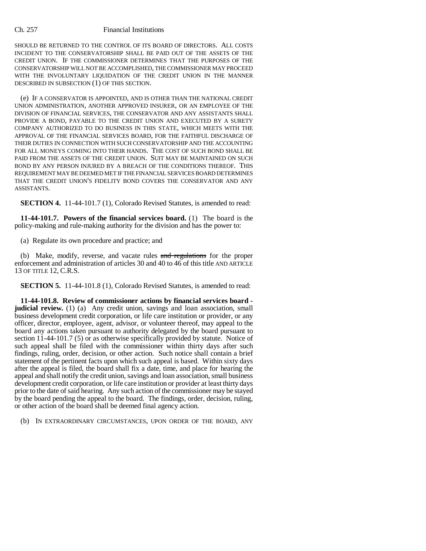SHOULD BE RETURNED TO THE CONTROL OF ITS BOARD OF DIRECTORS. ALL COSTS INCIDENT TO THE CONSERVATORSHIP SHALL BE PAID OUT OF THE ASSETS OF THE CREDIT UNION. IF THE COMMISSIONER DETERMINES THAT THE PURPOSES OF THE CONSERVATORSHIP WILL NOT BE ACCOMPLISHED, THE COMMISSIONER MAY PROCEED WITH THE INVOLUNTARY LIQUIDATION OF THE CREDIT UNION IN THE MANNER DESCRIBED IN SUBSECTION (1) OF THIS SECTION.

(e) IF A CONSERVATOR IS APPOINTED, AND IS OTHER THAN THE NATIONAL CREDIT UNION ADMINISTRATION, ANOTHER APPROVED INSURER, OR AN EMPLOYEE OF THE DIVISION OF FINANCIAL SERVICES, THE CONSERVATOR AND ANY ASSISTANTS SHALL PROVIDE A BOND, PAYABLE TO THE CREDIT UNION AND EXECUTED BY A SURETY COMPANY AUTHORIZED TO DO BUSINESS IN THIS STATE, WHICH MEETS WITH THE APPROVAL OF THE FINANCIAL SERVICES BOARD, FOR THE FAITHFUL DISCHARGE OF THEIR DUTIES IN CONNECTION WITH SUCH CONSERVATORSHIP AND THE ACCOUNTING FOR ALL MONEYS COMING INTO THEIR HANDS. THE COST OF SUCH BOND SHALL BE PAID FROM THE ASSETS OF THE CREDIT UNION. SUIT MAY BE MAINTAINED ON SUCH BOND BY ANY PERSON INJURED BY A BREACH OF THE CONDITIONS THEREOF. THIS REQUIREMENT MAY BE DEEMED MET IF THE FINANCIAL SERVICES BOARD DETERMINES THAT THE CREDIT UNION'S FIDELITY BOND COVERS THE CONSERVATOR AND ANY ASSISTANTS.

**SECTION 4.** 11-44-101.7 (1), Colorado Revised Statutes, is amended to read:

**11-44-101.7. Powers of the financial services board.** (1) The board is the policy-making and rule-making authority for the division and has the power to:

(a) Regulate its own procedure and practice; and

(b) Make, modify, reverse, and vacate rules and regulations for the proper enforcement and administration of articles 30 and 40 to 46 of this title AND ARTICLE 13 OF TITLE 12, C.R.S.

**SECTION 5.** 11-44-101.8 (1), Colorado Revised Statutes, is amended to read:

**11-44-101.8. Review of commissioner actions by financial services board judicial review.** (1) (a) Any credit union, savings and loan association, small business development credit corporation, or life care institution or provider, or any officer, director, employee, agent, advisor, or volunteer thereof, may appeal to the board any actions taken pursuant to authority delegated by the board pursuant to section 11-44-101.7 (5) or as otherwise specifically provided by statute. Notice of such appeal shall be filed with the commissioner within thirty days after such findings, ruling, order, decision, or other action. Such notice shall contain a brief statement of the pertinent facts upon which such appeal is based. Within sixty days after the appeal is filed, the board shall fix a date, time, and place for hearing the appeal and shall notify the credit union, savings and loan association, small business development credit corporation, or life care institution or provider at least thirty days prior to the date of said hearing. Any such action of the commissioner may be stayed by the board pending the appeal to the board. The findings, order, decision, ruling, or other action of the board shall be deemed final agency action.

(b) IN EXTRAORDINARY CIRCUMSTANCES, UPON ORDER OF THE BOARD, ANY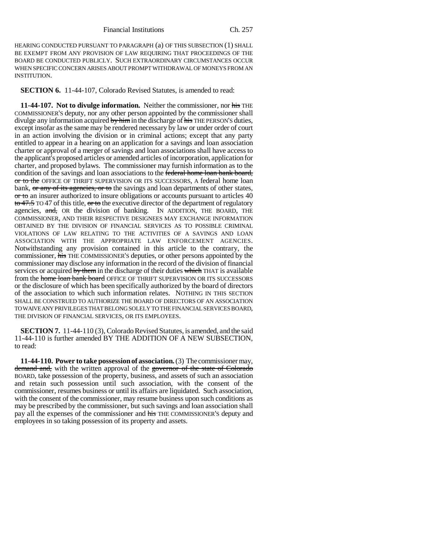HEARING CONDUCTED PURSUANT TO PARAGRAPH (a) OF THIS SUBSECTION (1) SHALL BE EXEMPT FROM ANY PROVISION OF LAW REQUIRING THAT PROCEEDINGS OF THE BOARD BE CONDUCTED PUBLICLY. SUCH EXTRAORDINARY CIRCUMSTANCES OCCUR WHEN SPECIFIC CONCERN ARISES ABOUT PROMPT WITHDRAWAL OF MONEYS FROM AN INSTITUTION.

**SECTION 6.** 11-44-107, Colorado Revised Statutes, is amended to read:

**11-44-107. Not to divulge information.** Neither the commissioner, nor his THE COMMISSIONER'S deputy, nor any other person appointed by the commissioner shall divulge any information acquired  $\frac{b}{y}$  him in the discharge of his THE PERSON'S duties, except insofar as the same may be rendered necessary by law or under order of court in an action involving the division or in criminal actions; except that any party entitled to appear in a hearing on an application for a savings and loan association charter or approval of a merger of savings and loan associations shall have access to the applicant's proposed articles or amended articles of incorporation, application for charter, and proposed bylaws. The commissioner may furnish information as to the condition of the savings and loan associations to the federal home loan bank board, or to the OFFICE OF THRIFT SUPERVISION OR ITS SUCCESSORS, A federal home loan bank, or any of its agencies, or to the savings and loan departments of other states, or to an insurer authorized to insure obligations or accounts pursuant to articles 40 to 47.5 TO 47 of this title, or to the executive director of the department of regulatory agencies, and, OR the division of banking. IN ADDITION, THE BOARD, THE COMMISSIONER, AND THEIR RESPECTIVE DESIGNEES MAY EXCHANGE INFORMATION OBTAINED BY THE DIVISION OF FINANCIAL SERVICES AS TO POSSIBLE CRIMINAL VIOLATIONS OF LAW RELATING TO THE ACTIVITIES OF A SAVINGS AND LOAN ASSOCIATION WITH THE APPROPRIATE LAW ENFORCEMENT AGENCIES. Notwithstanding any provision contained in this article to the contrary, the commissioner, his THE COMMISSIONER'S deputies, or other persons appointed by the commissioner may disclose any information in the record of the division of financial services or acquired by them in the discharge of their duties which THAT is available from the **home loan bank board** OFFICE OF THRIFT SUPERVISION OR ITS SUCCESSORS or the disclosure of which has been specifically authorized by the board of directors of the association to which such information relates. NOTHING IN THIS SECTION SHALL BE CONSTRUED TO AUTHORIZE THE BOARD OF DIRECTORS OF AN ASSOCIATION TO WAIVE ANY PRIVILEGES THAT BELONG SOLELY TO THE FINANCIAL SERVICES BOARD, THE DIVISION OF FINANCIAL SERVICES, OR ITS EMPLOYEES.

**SECTION 7.** 11-44-110 (3), Colorado Revised Statutes, is amended, and the said 11-44-110 is further amended BY THE ADDITION OF A NEW SUBSECTION, to read:

**11-44-110. Power to take possession of association.** (3) The commissioner may, demand and, with the written approval of the governor of the state of Colorado BOARD, take possession of the property, business, and assets of such an association and retain such possession until such association, with the consent of the commissioner, resumes business or until its affairs are liquidated. Such association, with the consent of the commissioner, may resume business upon such conditions as may be prescribed by the commissioner, but such savings and loan association shall pay all the expenses of the commissioner and his THE COMMISSIONER'S deputy and employees in so taking possession of its property and assets.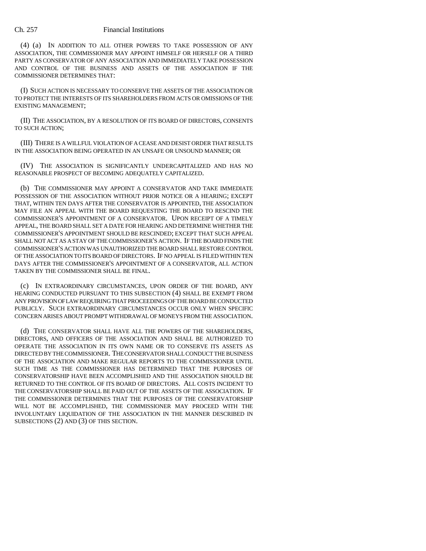(4) (a) IN ADDITION TO ALL OTHER POWERS TO TAKE POSSESSION OF ANY ASSOCIATION, THE COMMISSIONER MAY APPOINT HIMSELF OR HERSELF OR A THIRD PARTY AS CONSERVATOR OF ANY ASSOCIATION AND IMMEDIATELY TAKE POSSESSION AND CONTROL OF THE BUSINESS AND ASSETS OF THE ASSOCIATION IF THE COMMISSIONER DETERMINES THAT:

(I) SUCH ACTION IS NECESSARY TO CONSERVE THE ASSETS OF THE ASSOCIATION OR TO PROTECT THE INTERESTS OF ITS SHAREHOLDERS FROM ACTS OR OMISSIONS OF THE EXISTING MANAGEMENT;

(II) THE ASSOCIATION, BY A RESOLUTION OF ITS BOARD OF DIRECTORS, CONSENTS TO SUCH ACTION;

(III) THERE IS A WILLFUL VIOLATION OF A CEASE AND DESIST ORDER THAT RESULTS IN THE ASSOCIATION BEING OPERATED IN AN UNSAFE OR UNSOUND MANNER; OR

(IV) THE ASSOCIATION IS SIGNIFICANTLY UNDERCAPITALIZED AND HAS NO REASONABLE PROSPECT OF BECOMING ADEQUATELY CAPITALIZED.

(b) THE COMMISSIONER MAY APPOINT A CONSERVATOR AND TAKE IMMEDIATE POSSESSION OF THE ASSOCIATION WITHOUT PRIOR NOTICE OR A HEARING; EXCEPT THAT, WITHIN TEN DAYS AFTER THE CONSERVATOR IS APPOINTED, THE ASSOCIATION MAY FILE AN APPEAL WITH THE BOARD REQUESTING THE BOARD TO RESCIND THE COMMISSIONER'S APPOINTMENT OF A CONSERVATOR. UPON RECEIPT OF A TIMELY APPEAL, THE BOARD SHALL SET A DATE FOR HEARING AND DETERMINE WHETHER THE COMMISSIONER'S APPOINTMENT SHOULD BE RESCINDED; EXCEPT THAT SUCH APPEAL SHALL NOT ACT AS A STAY OF THE COMMISSIONER'S ACTION. IF THE BOARD FINDS THE COMMISSIONER'S ACTION WAS UNAUTHORIZED THE BOARD SHALL RESTORE CONTROL OF THE ASSOCIATION TO ITS BOARD OF DIRECTORS. IF NO APPEAL IS FILED WITHIN TEN DAYS AFTER THE COMMISSIONER'S APPOINTMENT OF A CONSERVATOR, ALL ACTION TAKEN BY THE COMMISSIONER SHALL BE FINAL.

(c) IN EXTRAORDINARY CIRCUMSTANCES, UPON ORDER OF THE BOARD, ANY HEARING CONDUCTED PURSUANT TO THIS SUBSECTION (4) SHALL BE EXEMPT FROM ANY PROVISION OF LAW REQUIRING THAT PROCEEDINGS OF THE BOARD BE CONDUCTED PUBLICLY. SUCH EXTRAORDINARY CIRCUMSTANCES OCCUR ONLY WHEN SPECIFIC CONCERN ARISES ABOUT PROMPT WITHDRAWAL OF MONEYS FROM THE ASSOCIATION.

(d) THE CONSERVATOR SHALL HAVE ALL THE POWERS OF THE SHAREHOLDERS, DIRECTORS, AND OFFICERS OF THE ASSOCIATION AND SHALL BE AUTHORIZED TO OPERATE THE ASSOCIATION IN ITS OWN NAME OR TO CONSERVE ITS ASSETS AS DIRECTED BY THE COMMISSIONER. THE CONSERVATOR SHALL CONDUCT THE BUSINESS OF THE ASSOCIATION AND MAKE REGULAR REPORTS TO THE COMMISSIONER UNTIL SUCH TIME AS THE COMMISSIONER HAS DETERMINED THAT THE PURPOSES OF CONSERVATORSHIP HAVE BEEN ACCOMPLISHED AND THE ASSOCIATION SHOULD BE RETURNED TO THE CONTROL OF ITS BOARD OF DIRECTORS. ALL COSTS INCIDENT TO THE CONSERVATORSHIP SHALL BE PAID OUT OF THE ASSETS OF THE ASSOCIATION. IF THE COMMISSIONER DETERMINES THAT THE PURPOSES OF THE CONSERVATORSHIP WILL NOT BE ACCOMPLISHED, THE COMMISSIONER MAY PROCEED WITH THE INVOLUNTARY LIQUIDATION OF THE ASSOCIATION IN THE MANNER DESCRIBED IN SUBSECTIONS (2) AND (3) OF THIS SECTION.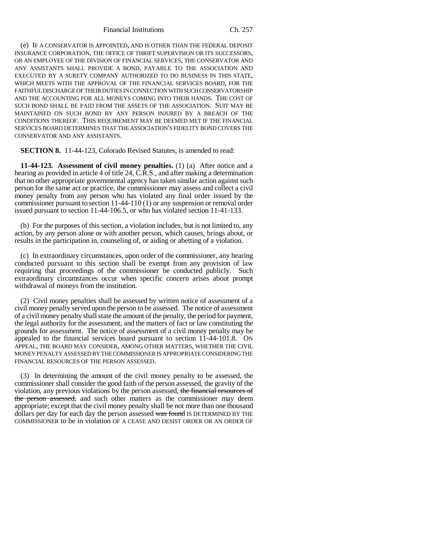(e) IF A CONSERVATOR IS APPOINTED, AND IS OTHER THAN THE FEDERAL DEPOSIT INSURANCE CORPORATION, THE OFFICE OF THRIFT SUPERVISION OR ITS SUCCESSORS, OR AN EMPLOYEE OF THE DIVISION OF FINANCIAL SERVICES, THE CONSERVATOR AND ANY ASSISTANTS SHALL PROVIDE A BOND, PAYABLE TO THE ASSOCIATION AND EXECUTED BY A SURETY COMPANY AUTHORIZED TO DO BUSINESS IN THIS STATE, WHICH MEETS WITH THE APPROVAL OF THE FINANCIAL SERVICES BOARD, FOR THE FAITHFUL DISCHARGE OF THEIR DUTIES IN CONNECTION WITH SUCH CONSERVATORSHIP AND THE ACCOUNTING FOR ALL MONEYS COMING INTO THEIR HANDS. THE COST OF SUCH BOND SHALL BE PAID FROM THE ASSETS OF THE ASSOCIATION. SUIT MAY BE MAINTAINED ON SUCH BOND BY ANY PERSON INJURED BY A BREACH OF THE CONDITIONS THEREOF. THIS REQUIREMENT MAY BE DEEMED MET IF THE FINANCIAL SERVICES BOARD DETERMINES THAT THE ASSOCIATION'S FIDELITY BOND COVERS THE CONSERVATOR AND ANY ASSISTANTS.

**SECTION 8.** 11-44-123, Colorado Revised Statutes, is amended to read:

**11-44-123. Assessment of civil money penalties.** (1) (a) After notice and a hearing as provided in article 4 of title 24, C.R.S., and after making a determination that no other appropriate governmental agency has taken similar action against such person for the same act or practice, the commissioner may assess and collect a civil money penalty from any person who has violated any final order issued by the commissioner pursuant to section 11-44-110 (1) or any suspension or removal order issued pursuant to section 11-44-106.5, or who has violated section 11-41-133.

(b) For the purposes of this section, a violation includes, but is not limited to, any action, by any person alone or with another person, which causes, brings about, or results in the participation in, counseling of, or aiding or abetting of a violation.

(c) In extraordinary circumstances, upon order of the commissioner, any hearing conducted pursuant to this section shall be exempt from any provision of law requiring that proceedings of the commissioner be conducted publicly. Such extraordinary circumstances occur when specific concern arises about prompt withdrawal of moneys from the institution.

(2) Civil money penalties shall be assessed by written notice of assessment of a civil money penalty served upon the person to be assessed. The notice of assessment of a civil money penalty shall state the amount of the penalty, the period for payment, the legal authority for the assessment, and the matters of fact or law constituting the grounds for assessment. The notice of assessment of a civil money penalty may be appealed to the financial services board pursuant to section 11-44-101.8. ON APPEAL, THE BOARD MAY CONSIDER, AMONG OTHER MATTERS, WHETHER THE CIVIL MONEY PENALTY ASSESSED BY THE COMMISSIONER IS APPROPRIATE CONSIDERING THE FINANCIAL RESOURCES OF THE PERSON ASSESSED.

(3) In determining the amount of the civil money penalty to be assessed, the commissioner shall consider the good faith of the person assessed, the gravity of the violation, any previous violations by the person assessed, the financial resources of the person assessed, and such other matters as the commissioner may deem appropriate; except that the civil money penalty shall be not more than one thousand dollars per day for each day the person assessed was found IS DETERMINED BY THE COMMISSIONER to be in violation OF A CEASE AND DESIST ORDER OR AN ORDER OF